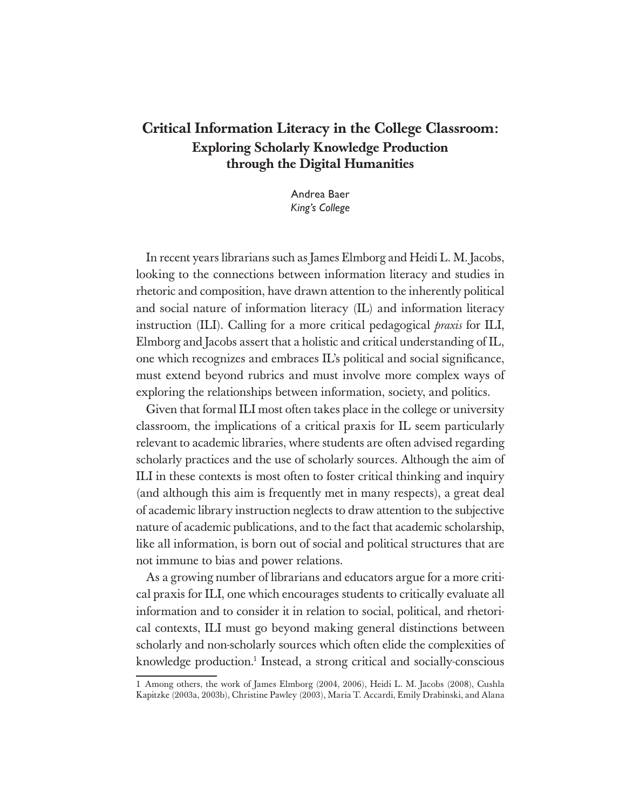# Critical Information Literacy in the College Classroom: Exploring Scholarly Knowledge Production through the Digital Humanities

Andrea Baer King's College

In recent years librarians such as James Elmborg and Heidi L. M. Jacobs, looking to the connections between information literacy and studies in rhetoric and composition, have drawn attention to the inherently political and social nature of information literacy (IL) and information literacy instruction (ILI). Calling for a more critical pedagogical *praxis* for ILI, Elmborg and Jacobs assert that a holistic and critical understanding of IL, one which recognizes and embraces IL's political and social significance, must extend beyond rubrics and must involve more complex ways of exploring the relationships between information, society, and politics.

Given that formal ILI most often takes place in the college or university classroom, the implications of a critical praxis for IL seem particularly relevant to academic libraries, where students are often advised regarding scholarly practices and the use of scholarly sources. Although the aim of ILI in these contexts is most often to foster critical thinking and inquiry (and although this aim is frequently met in many respects), a great deal of academic library instruction neglects to draw attention to the subjective nature of academic publications, and to the fact that academic scholarship, like all information, is born out of social and political structures that are not immune to bias and power relations.

As a growing number of librarians and educators argue for a more critical praxis for ILI, one which encourages students to critically evaluate all information and to consider it in relation to social, political, and rhetorical contexts, ILI must go beyond making general distinctions between scholarly and non-scholarly sources which often elide the complexities of knowledge production.<sup>1</sup> Instead, a strong critical and socially-conscious

<sup>1</sup> Among others, the work of James Elmborg (2004, 2006), Heidi L. M. Jacobs (2008), Cushla Kapitzke (2003a, 2003b), Christine Pawley (2003), Maria T. Accardi, Emily Drabinski, and Alana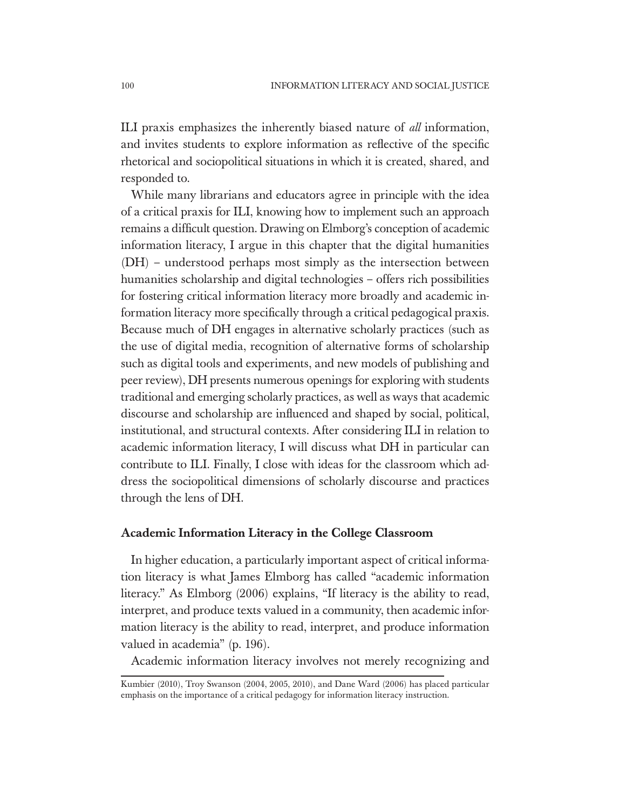ILI praxis emphasizes the inherently biased nature of *all* information, and invites students to explore information as reflective of the specific rhetorical and sociopolitical situations in which it is created, shared, and responded to.

While many librarians and educators agree in principle with the idea of a critical praxis for ILI, knowing how to implement such an approach remains a difficult question. Drawing on Elmborg's conception of academic information literacy, I argue in this chapter that the digital humanities (DH) – understood perhaps most simply as the intersection between humanities scholarship and digital technologies – offers rich possibilities for fostering critical information literacy more broadly and academic information literacy more specifically through a critical pedagogical praxis. Because much of DH engages in alternative scholarly practices (such as the use of digital media, recognition of alternative forms of scholarship such as digital tools and experiments, and new models of publishing and peer review), DH presents numerous openings for exploring with students traditional and emerging scholarly practices, as well as ways that academic discourse and scholarship are influenced and shaped by social, political, institutional, and structural contexts. After considering ILI in relation to academic information literacy, I will discuss what DH in particular can contribute to ILI. Finally, I close with ideas for the classroom which address the sociopolitical dimensions of scholarly discourse and practices through the lens of DH.

#### Academic Information Literacy in the College Classroom

In higher education, a particularly important aspect of critical information literacy is what James Elmborg has called "academic information literacy." As Elmborg (2006) explains, "If literacy is the ability to read, interpret, and produce texts valued in a community, then academic information literacy is the ability to read, interpret, and produce information valued in academia" (p. 196).

Academic information literacy involves not merely recognizing and

Kumbier (2010), Troy Swanson (2004, 2005, 2010), and Dane Ward (2006) has placed particular emphasis on the importance of a critical pedagogy for information literacy instruction.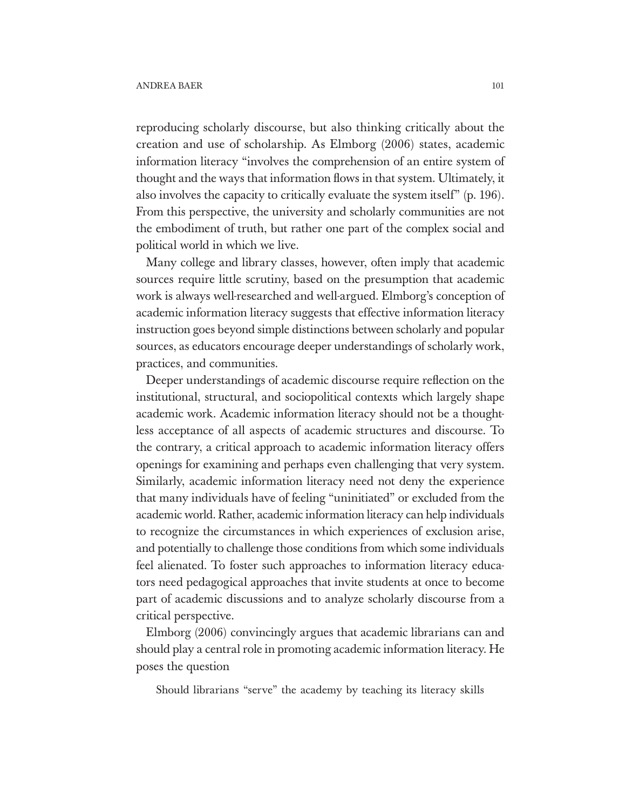reproducing scholarly discourse, but also thinking critically about the creation and use of scholarship. As Elmborg (2006) states, academic information literacy "involves the comprehension of an entire system of thought and the ways that information flows in that system. Ultimately, it also involves the capacity to critically evaluate the system itself" (p. 196). From this perspective, the university and scholarly communities are not the embodiment of truth, but rather one part of the complex social and political world in which we live.

Many college and library classes, however, often imply that academic sources require little scrutiny, based on the presumption that academic work is always well-researched and well-argued. Elmborg's conception of academic information literacy suggests that effective information literacy instruction goes beyond simple distinctions between scholarly and popular sources, as educators encourage deeper understandings of scholarly work, practices, and communities.

Deeper understandings of academic discourse require reflection on the institutional, structural, and sociopolitical contexts which largely shape academic work. Academic information literacy should not be a thoughtless acceptance of all aspects of academic structures and discourse. To the contrary, a critical approach to academic information literacy offers openings for examining and perhaps even challenging that very system. Similarly, academic information literacy need not deny the experience that many individuals have of feeling "uninitiated" or excluded from the academic world. Rather, academic information literacy can help individuals to recognize the circumstances in which experiences of exclusion arise, and potentially to challenge those conditions from which some individuals feel alienated. To foster such approaches to information literacy educators need pedagogical approaches that invite students at once to become part of academic discussions and to analyze scholarly discourse from a critical perspective.

Elmborg (2006) convincingly argues that academic librarians can and should play a central role in promoting academic information literacy. He poses the question

Should librarians "serve" the academy by teaching its literacy skills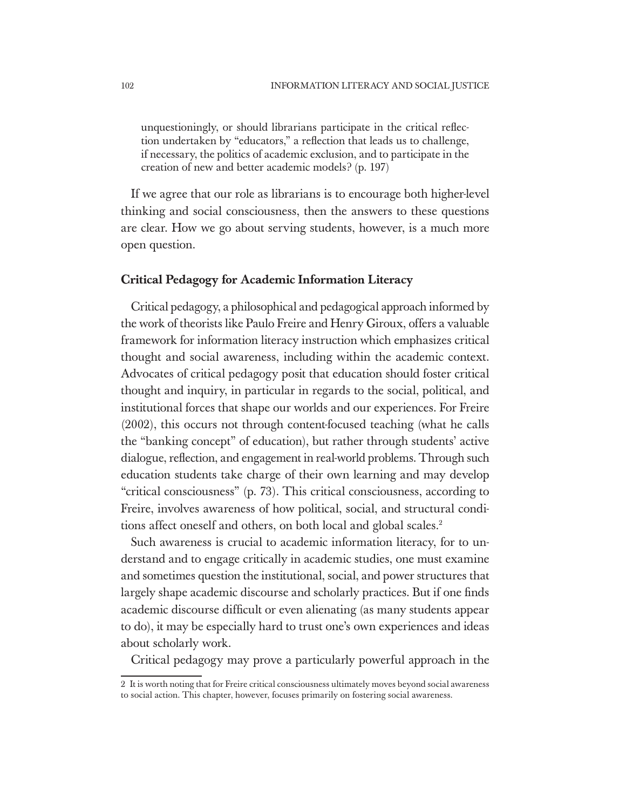unquestioningly, or should librarians participate in the critical reflection undertaken by "educators," a reflection that leads us to challenge, if necessary, the politics of academic exclusion, and to participate in the creation of new and better academic models? (p. 197)

If we agree that our role as librarians is to encourage both higher-level thinking and social consciousness, then the answers to these questions are clear. How we go about serving students, however, is a much more open question.

#### Critical Pedagogy for Academic Information Literacy

Critical pedagogy, a philosophical and pedagogical approach informed by the work of theorists like Paulo Freire and Henry Giroux, offers a valuable framework for information literacy instruction which emphasizes critical thought and social awareness, including within the academic context. Advocates of critical pedagogy posit that education should foster critical thought and inquiry, in particular in regards to the social, political, and institutional forces that shape our worlds and our experiences. For Freire (2002), this occurs not through content-focused teaching (what he calls the "banking concept" of education), but rather through students' active dialogue, reflection, and engagement in real-world problems. Through such education students take charge of their own learning and may develop "critical consciousness" (p. 73). This critical consciousness, according to Freire, involves awareness of how political, social, and structural conditions affect oneself and others, on both local and global scales.<sup>2</sup>

Such awareness is crucial to academic information literacy, for to understand and to engage critically in academic studies, one must examine and sometimes question the institutional, social, and power structures that largely shape academic discourse and scholarly practices. But if one finds academic discourse difficult or even alienating (as many students appear to do), it may be especially hard to trust one's own experiences and ideas about scholarly work.

Critical pedagogy may prove a particularly powerful approach in the

<sup>2</sup> It is worth noting that for Freire critical consciousness ultimately moves beyond social awareness to social action. This chapter, however, focuses primarily on fostering social awareness.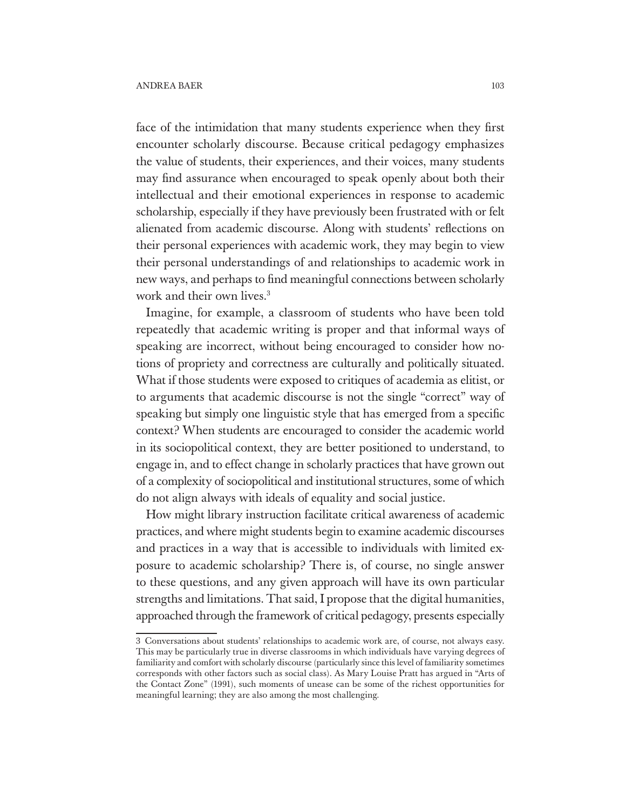face of the intimidation that many students experience when they first encounter scholarly discourse. Because critical pedagogy emphasizes the value of students, their experiences, and their voices, many students may find assurance when encouraged to speak openly about both their intellectual and their emotional experiences in response to academic scholarship, especially if they have previously been frustrated with or felt alienated from academic discourse. Along with students' reflections on their personal experiences with academic work, they may begin to view their personal understandings of and relationships to academic work in new ways, and perhaps to find meaningful connections between scholarly work and their own lives.<sup>3</sup>

Imagine, for example, a classroom of students who have been told repeatedly that academic writing is proper and that informal ways of speaking are incorrect, without being encouraged to consider how notions of propriety and correctness are culturally and politically situated. What if those students were exposed to critiques of academia as elitist, or to arguments that academic discourse is not the single "correct" way of speaking but simply one linguistic style that has emerged from a specific context? When students are encouraged to consider the academic world in its sociopolitical context, they are better positioned to understand, to engage in, and to effect change in scholarly practices that have grown out of a complexity of sociopolitical and institutional structures, some of which do not align always with ideals of equality and social justice.

How might library instruction facilitate critical awareness of academic practices, and where might students begin to examine academic discourses and practices in a way that is accessible to individuals with limited exposure to academic scholarship? There is, of course, no single answer to these questions, and any given approach will have its own particular strengths and limitations. That said, I propose that the digital humanities, approached through the framework of critical pedagogy, presents especially

<sup>3</sup> Conversations about students' relationships to academic work are, of course, not always easy. This may be particularly true in diverse classrooms in which individuals have varying degrees of familiarity and comfort with scholarly discourse (particularly since this level of familiarity sometimes corresponds with other factors such as social class). As Mary Louise Pratt has argued in "Arts of the Contact Zone" (1991), such moments of unease can be some of the richest opportunities for meaningful learning; they are also among the most challenging.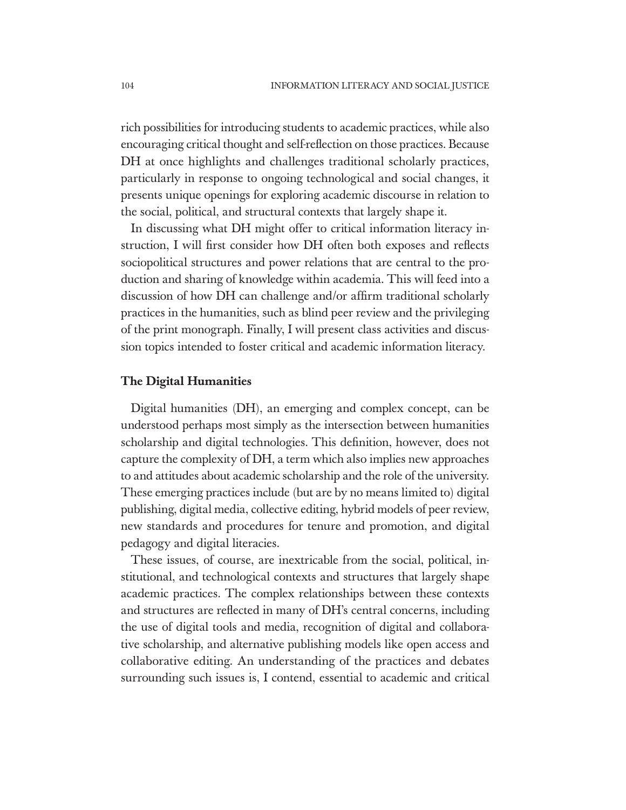rich possibilities for introducing students to academic practices, while also encouraging critical thought and self-reflection on those practices. Because DH at once highlights and challenges traditional scholarly practices, particularly in response to ongoing technological and social changes, it presents unique openings for exploring academic discourse in relation to the social, political, and structural contexts that largely shape it.

In discussing what DH might offer to critical information literacy instruction, I will first consider how DH often both exposes and reflects sociopolitical structures and power relations that are central to the production and sharing of knowledge within academia. This will feed into a discussion of how DH can challenge and/or affirm traditional scholarly practices in the humanities, such as blind peer review and the privileging of the print monograph. Finally, I will present class activities and discussion topics intended to foster critical and academic information literacy.

#### The Digital Humanities

Digital humanities (DH), an emerging and complex concept, can be understood perhaps most simply as the intersection between humanities scholarship and digital technologies. This definition, however, does not capture the complexity of DH, a term which also implies new approaches to and attitudes about academic scholarship and the role of the university. These emerging practices include (but are by no means limited to) digital publishing, digital media, collective editing, hybrid models of peer review, new standards and procedures for tenure and promotion, and digital pedagogy and digital literacies.

These issues, of course, are inextricable from the social, political, institutional, and technological contexts and structures that largely shape academic practices. The complex relationships between these contexts and structures are reflected in many of DH's central concerns, including the use of digital tools and media, recognition of digital and collaborative scholarship, and alternative publishing models like open access and collaborative editing. An understanding of the practices and debates surrounding such issues is, I contend, essential to academic and critical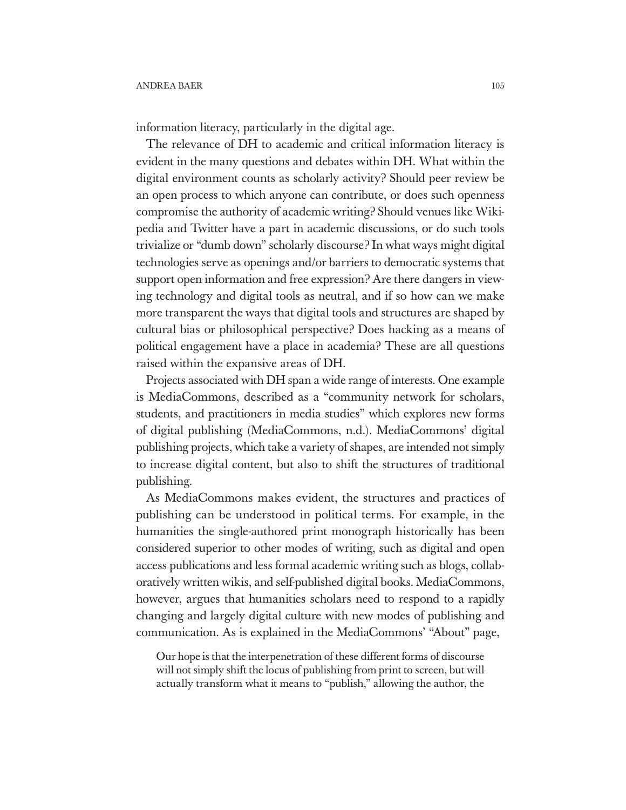#### ANDREA BAER 105

information literacy, particularly in the digital age.

The relevance of DH to academic and critical information literacy is evident in the many questions and debates within DH. What within the digital environment counts as scholarly activity? Should peer review be an open process to which anyone can contribute, or does such openness compromise the authority of academic writing? Should venues like Wikipedia and Twitter have a part in academic discussions, or do such tools trivialize or "dumb down" scholarly discourse? In what ways might digital technologies serve as openings and/or barriers to democratic systems that support open information and free expression? Are there dangers in viewing technology and digital tools as neutral, and if so how can we make more transparent the ways that digital tools and structures are shaped by cultural bias or philosophical perspective? Does hacking as a means of political engagement have a place in academia? These are all questions raised within the expansive areas of DH.

Projects associated with DH span a wide range of interests. One example is MediaCommons, described as a "community network for scholars, students, and practitioners in media studies" which explores new forms of digital publishing (MediaCommons, n.d.). MediaCommons' digital publishing projects, which take a variety of shapes, are intended not simply to increase digital content, but also to shift the structures of traditional publishing.

As MediaCommons makes evident, the structures and practices of publishing can be understood in political terms. For example, in the humanities the single-authored print monograph historically has been considered superior to other modes of writing, such as digital and open access publications and less formal academic writing such as blogs, collaboratively written wikis, and self-published digital books. MediaCommons, however, argues that humanities scholars need to respond to a rapidly changing and largely digital culture with new modes of publishing and communication. As is explained in the MediaCommons' "About" page,

Our hope is that the interpenetration of these different forms of discourse will not simply shift the locus of publishing from print to screen, but will actually transform what it means to "publish," allowing the author, the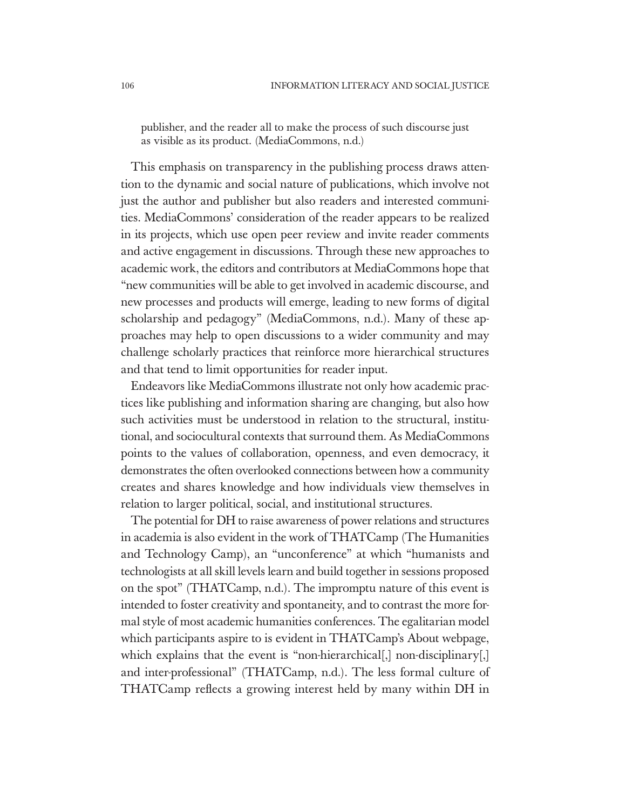publisher, and the reader all to make the process of such discourse just as visible as its product. (MediaCommons, n.d.)

This emphasis on transparency in the publishing process draws attention to the dynamic and social nature of publications, which involve not just the author and publisher but also readers and interested communities. MediaCommons' consideration of the reader appears to be realized in its projects, which use open peer review and invite reader comments and active engagement in discussions. Through these new approaches to academic work, the editors and contributors at MediaCommons hope that "new communities will be able to get involved in academic discourse, and new processes and products will emerge, leading to new forms of digital scholarship and pedagogy" (MediaCommons, n.d.). Many of these approaches may help to open discussions to a wider community and may challenge scholarly practices that reinforce more hierarchical structures and that tend to limit opportunities for reader input.

Endeavors like MediaCommons illustrate not only how academic practices like publishing and information sharing are changing, but also how such activities must be understood in relation to the structural, institutional, and sociocultural contexts that surround them. As MediaCommons points to the values of collaboration, openness, and even democracy, it demonstrates the often overlooked connections between how a community creates and shares knowledge and how individuals view themselves in relation to larger political, social, and institutional structures.

The potential for DH to raise awareness of power relations and structures in academia is also evident in the work of THATCamp (The Humanities and Technology Camp), an "unconference" at which "humanists and technologists at all skill levels learn and build together in sessions proposed on the spot" (THATCamp, n.d.). The impromptu nature of this event is intended to foster creativity and spontaneity, and to contrast the more formal style of most academic humanities conferences. The egalitarian model which participants aspire to is evident in THATCamp's About webpage, which explains that the event is "non-hierarchical[,] non-disciplinary[,] and inter-professional" (THATCamp, n.d.). The less formal culture of THATCamp reflects a growing interest held by many within DH in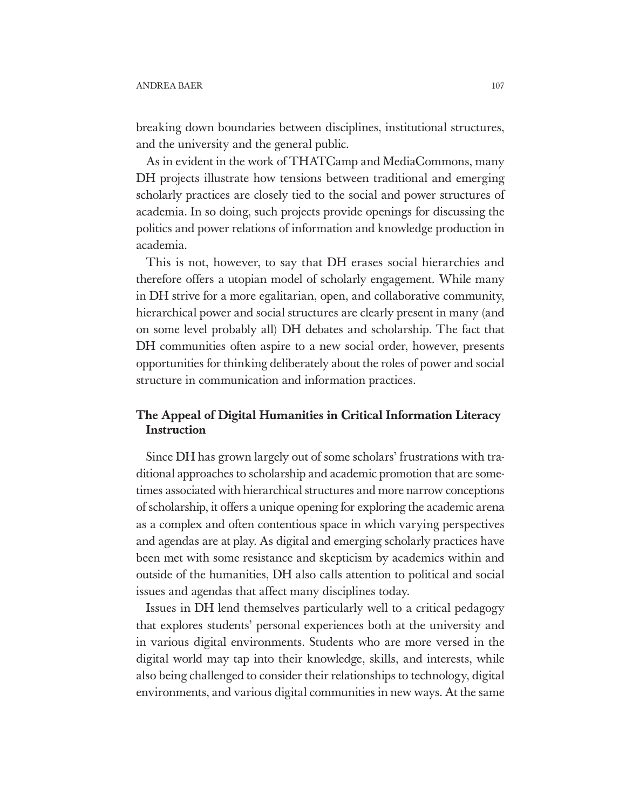breaking down boundaries between disciplines, institutional structures, and the university and the general public.

As in evident in the work of THATCamp and MediaCommons, many DH projects illustrate how tensions between traditional and emerging scholarly practices are closely tied to the social and power structures of academia. In so doing, such projects provide openings for discussing the politics and power relations of information and knowledge production in academia.

This is not, however, to say that DH erases social hierarchies and therefore offers a utopian model of scholarly engagement. While many in DH strive for a more egalitarian, open, and collaborative community, hierarchical power and social structures are clearly present in many (and on some level probably all) DH debates and scholarship. The fact that DH communities often aspire to a new social order, however, presents opportunities for thinking deliberately about the roles of power and social structure in communication and information practices.

## The Appeal of Digital Humanities in Critical Information Literacy **Instruction**

Since DH has grown largely out of some scholars' frustrations with traditional approaches to scholarship and academic promotion that are sometimes associated with hierarchical structures and more narrow conceptions of scholarship, it offers a unique opening for exploring the academic arena as a complex and often contentious space in which varying perspectives and agendas are at play. As digital and emerging scholarly practices have been met with some resistance and skepticism by academics within and outside of the humanities, DH also calls attention to political and social issues and agendas that affect many disciplines today.

Issues in DH lend themselves particularly well to a critical pedagogy that explores students' personal experiences both at the university and in various digital environments. Students who are more versed in the digital world may tap into their knowledge, skills, and interests, while also being challenged to consider their relationships to technology, digital environments, and various digital communities in new ways. At the same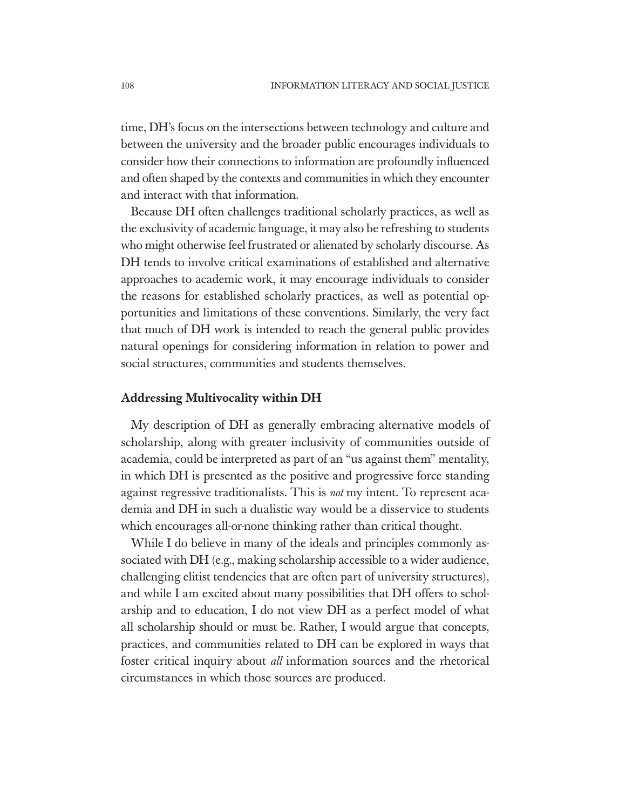time, DH's focus on the intersections between technology and culture and between the university and the broader public encourages individuals to consider how their connections to information are profoundly influenced and often shaped by the contexts and communities in which they encounter and interact with that information.

Because DH often challenges traditional scholarly practices, as well as the exclusivity of academic language, it may also be refreshing to students who might otherwise feel frustrated or alienated by scholarly discourse. As DH tends to involve critical examinations of established and alternative approaches to academic work, it may encourage individuals to consider the reasons for established scholarly practices, as well as potential opportunities and limitations of these conventions. Similarly, the very fact that much of DH work is intended to reach the general public provides natural openings for considering information in relation to power and social structures, communities and students themselves.

#### Addressing Multivocality within DH

My description of DH as generally embracing alternative models of scholarship, along with greater inclusivity of communities outside of academia, could be interpreted as part of an "us against them" mentality, in which DH is presented as the positive and progressive force standing against regressive traditionalists. This is *not* my intent. To represent academia and DH in such a dualistic way would be a disservice to students which encourages all-or-none thinking rather than critical thought.

While I do believe in many of the ideals and principles commonly associated with DH (e.g., making scholarship accessible to a wider audience, challenging elitist tendencies that are often part of university structures), and while I am excited about many possibilities that DH offers to scholarship and to education, I do not view DH as a perfect model of what all scholarship should or must be. Rather, I would argue that concepts, practices, and communities related to DH can be explored in ways that foster critical inquiry about *all* information sources and the rhetorical circumstances in which those sources are produced.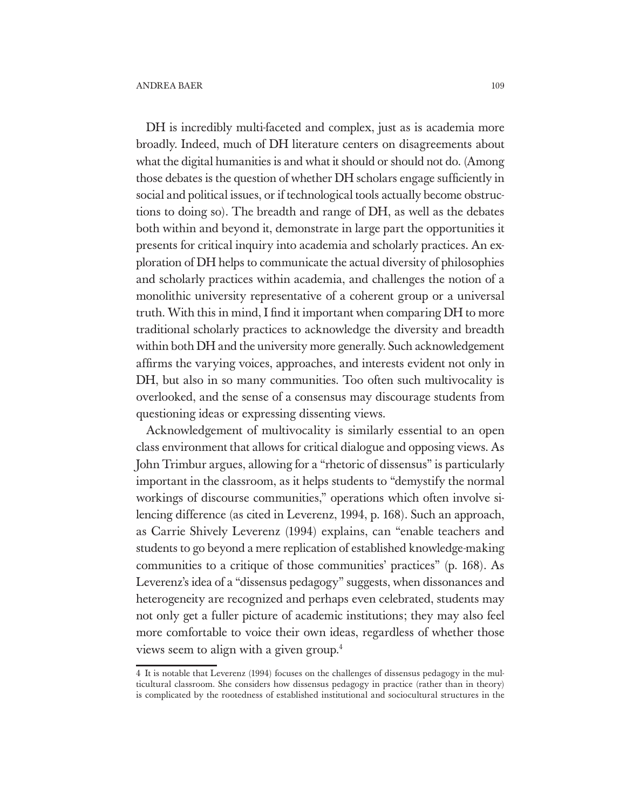DH is incredibly multi-faceted and complex, just as is academia more broadly. Indeed, much of DH literature centers on disagreements about what the digital humanities is and what it should or should not do. (Among those debates is the question of whether DH scholars engage sufficiently in social and political issues, or if technological tools actually become obstructions to doing so). The breadth and range of DH, as well as the debates both within and beyond it, demonstrate in large part the opportunities it presents for critical inquiry into academia and scholarly practices. An exploration of DH helps to communicate the actual diversity of philosophies and scholarly practices within academia, and challenges the notion of a monolithic university representative of a coherent group or a universal truth. With this in mind, I find it important when comparing DH to more traditional scholarly practices to acknowledge the diversity and breadth within both DH and the university more generally. Such acknowledgement affirms the varying voices, approaches, and interests evident not only in DH, but also in so many communities. Too often such multivocality is overlooked, and the sense of a consensus may discourage students from questioning ideas or expressing dissenting views.

Acknowledgement of multivocality is similarly essential to an open class environment that allows for critical dialogue and opposing views. As John Trimbur argues, allowing for a "rhetoric of dissensus" is particularly important in the classroom, as it helps students to "demystify the normal workings of discourse communities," operations which often involve silencing difference (as cited in Leverenz, 1994, p. 168). Such an approach, as Carrie Shively Leverenz (1994) explains, can "enable teachers and students to go beyond a mere replication of established knowledge-making communities to a critique of those communities' practices" (p. 168). As Leverenz's idea of a "dissensus pedagogy" suggests, when dissonances and heterogeneity are recognized and perhaps even celebrated, students may not only get a fuller picture of academic institutions; they may also feel more comfortable to voice their own ideas, regardless of whether those views seem to align with a given group.4

<sup>4</sup> It is notable that Leverenz (1994) focuses on the challenges of dissensus pedagogy in the multicultural classroom. She considers how dissensus pedagogy in practice (rather than in theory) is complicated by the rootedness of established institutional and sociocultural structures in the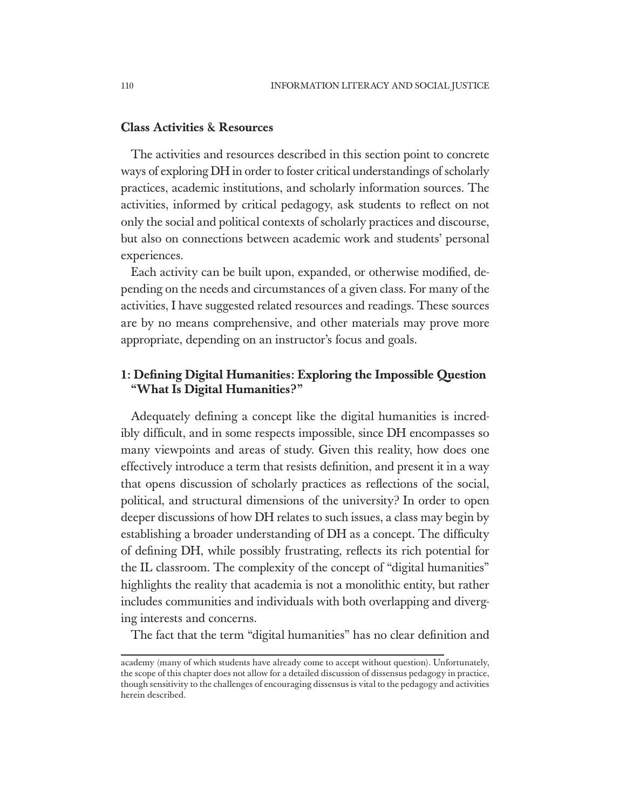#### Class Activities & Resources

The activities and resources described in this section point to concrete ways of exploring DH in order to foster critical understandings of scholarly practices, academic institutions, and scholarly information sources. The activities, informed by critical pedagogy, ask students to reflect on not only the social and political contexts of scholarly practices and discourse, but also on connections between academic work and students' personal experiences.

Each activity can be built upon, expanded, or otherwise modified, depending on the needs and circumstances of a given class. For many of the activities, I have suggested related resources and readings. These sources are by no means comprehensive, and other materials may prove more appropriate, depending on an instructor's focus and goals.

### 1: Defining Digital Humanities: Exploring the Impossible Question "What Is Digital Humanities?"

Adequately defining a concept like the digital humanities is incredibly difficult, and in some respects impossible, since DH encompasses so many viewpoints and areas of study. Given this reality, how does one effectively introduce a term that resists definition, and present it in a way that opens discussion of scholarly practices as reflections of the social, political, and structural dimensions of the university? In order to open deeper discussions of how DH relates to such issues, a class may begin by establishing a broader understanding of DH as a concept. The difficulty of defining DH, while possibly frustrating, reflects its rich potential for the IL classroom. The complexity of the concept of "digital humanities" highlights the reality that academia is not a monolithic entity, but rather includes communities and individuals with both overlapping and diverging interests and concerns.

The fact that the term "digital humanities" has no clear definition and

academy (many of which students have already come to accept without question). Unfortunately, the scope of this chapter does not allow for a detailed discussion of dissensus pedagogy in practice, though sensitivity to the challenges of encouraging dissensus is vital to the pedagogy and activities herein described.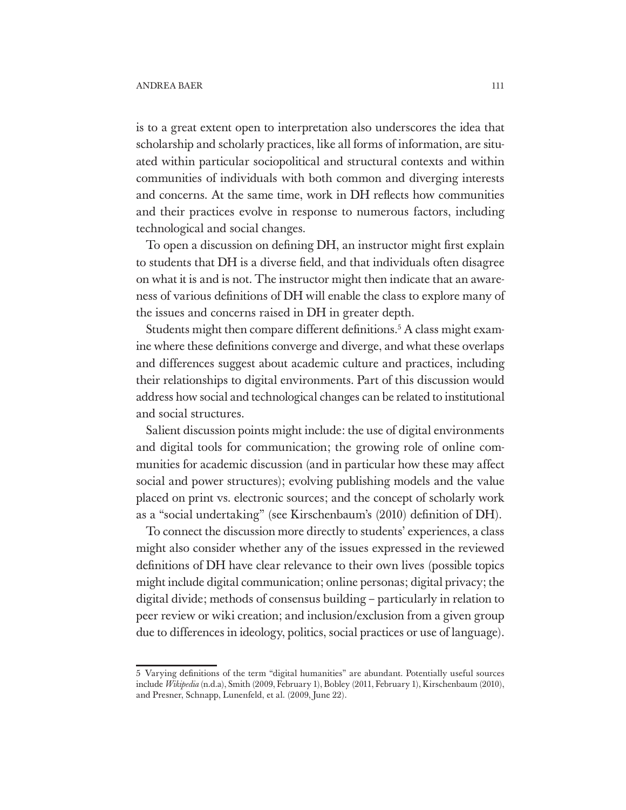is to a great extent open to interpretation also underscores the idea that scholarship and scholarly practices, like all forms of information, are situated within particular sociopolitical and structural contexts and within communities of individuals with both common and diverging interests and concerns. At the same time, work in DH reflects how communities and their practices evolve in response to numerous factors, including technological and social changes.

To open a discussion on defining DH, an instructor might first explain to students that DH is a diverse field, and that individuals often disagree on what it is and is not. The instructor might then indicate that an awareness of various definitions of DH will enable the class to explore many of the issues and concerns raised in DH in greater depth.

Students might then compare different definitions.<sup>5</sup> A class might examine where these definitions converge and diverge, and what these overlaps and differences suggest about academic culture and practices, including their relationships to digital environments. Part of this discussion would address how social and technological changes can be related to institutional and social structures.

Salient discussion points might include: the use of digital environments and digital tools for communication; the growing role of online communities for academic discussion (and in particular how these may affect social and power structures); evolving publishing models and the value placed on print vs. electronic sources; and the concept of scholarly work as a "social undertaking" (see Kirschenbaum's (2010) definition of DH).

To connect the discussion more directly to students' experiences, a class might also consider whether any of the issues expressed in the reviewed definitions of DH have clear relevance to their own lives (possible topics might include digital communication; online personas; digital privacy; the digital divide; methods of consensus building – particularly in relation to peer review or wiki creation; and inclusion/exclusion from a given group due to differences in ideology, politics, social practices or use of language).

<sup>5</sup> Varying definitions of the term "digital humanities" are abundant. Potentially useful sources include *Wikipedia* (n.d.a), Smith (2009, February 1), Bobley (2011, February 1), Kirschenbaum (2010), and Presner, Schnapp, Lunenfeld, et al. (2009, June 22).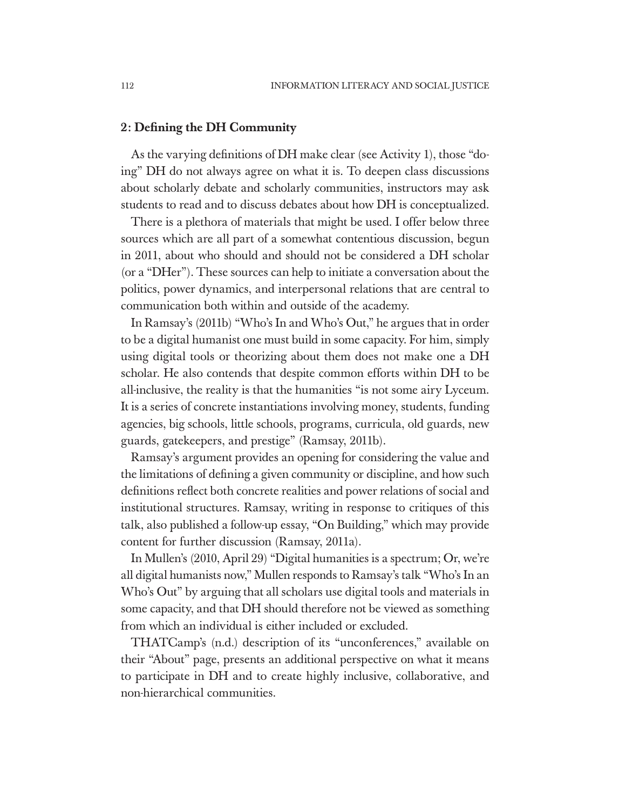#### 2: Defining the DH Community

As the varying definitions of DH make clear (see Activity 1), those "doing" DH do not always agree on what it is. To deepen class discussions about scholarly debate and scholarly communities, instructors may ask students to read and to discuss debates about how DH is conceptualized.

There is a plethora of materials that might be used. I offer below three sources which are all part of a somewhat contentious discussion, begun in 2011, about who should and should not be considered a DH scholar (or a "DHer"). These sources can help to initiate a conversation about the politics, power dynamics, and interpersonal relations that are central to communication both within and outside of the academy.

In Ramsay's (2011b) "Who's In and Who's Out," he argues that in order to be a digital humanist one must build in some capacity. For him, simply using digital tools or theorizing about them does not make one a DH scholar. He also contends that despite common efforts within DH to be all-inclusive, the reality is that the humanities "is not some airy Lyceum. It is a series of concrete instantiations involving money, students, funding agencies, big schools, little schools, programs, curricula, old guards, new guards, gatekeepers, and prestige" (Ramsay, 2011b).

Ramsay's argument provides an opening for considering the value and the limitations of defining a given community or discipline, and how such definitions reflect both concrete realities and power relations of social and institutional structures. Ramsay, writing in response to critiques of this talk, also published a follow-up essay, "On Building," which may provide content for further discussion (Ramsay, 2011a).

In Mullen's (2010, April 29) "Digital humanities is a spectrum; Or, we're all digital humanists now," Mullen responds to Ramsay's talk "Who's In an Who's Out" by arguing that all scholars use digital tools and materials in some capacity, and that DH should therefore not be viewed as something from which an individual is either included or excluded.

THATCamp's (n.d.) description of its "unconferences," available on their "About" page, presents an additional perspective on what it means to participate in DH and to create highly inclusive, collaborative, and non-hierarchical communities.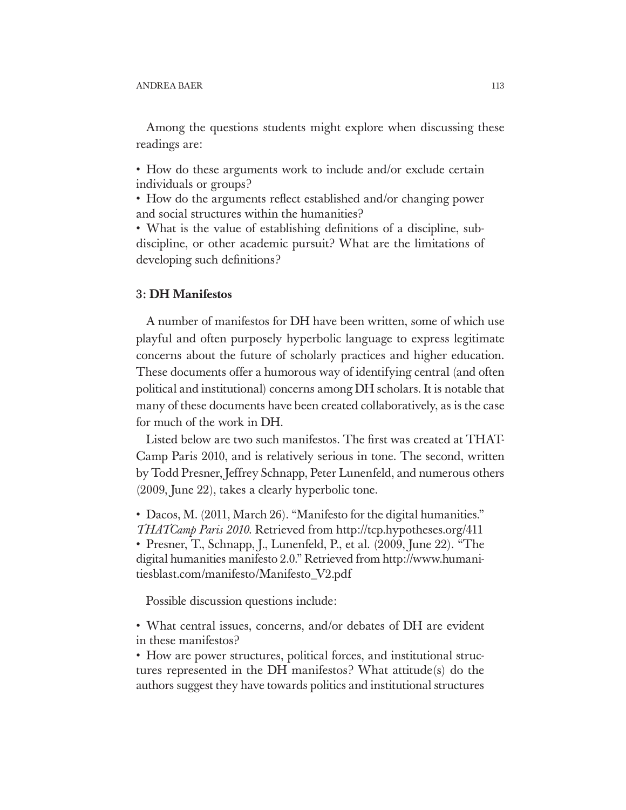Among the questions students might explore when discussing these readings are:

• How do these arguments work to include and/or exclude certain individuals or groups?

• How do the arguments reflect established and/or changing power and social structures within the humanities?

• What is the value of establishing definitions of a discipline, subdiscipline, or other academic pursuit? What are the limitations of developing such definitions?

### 3: DH Manifestos

A number of manifestos for DH have been written, some of which use playful and often purposely hyperbolic language to express legitimate concerns about the future of scholarly practices and higher education. These documents offer a humorous way of identifying central (and often political and institutional) concerns among DH scholars. It is notable that many of these documents have been created collaboratively, as is the case for much of the work in DH.

Listed below are two such manifestos. The first was created at THAT-Camp Paris 2010, and is relatively serious in tone. The second, written by Todd Presner, Jeffrey Schnapp, Peter Lunenfeld, and numerous others (2009, June 22), takes a clearly hyperbolic tone.

• Dacos, M. (2011, March 26). "Manifesto for the digital humanities." *THATCamp Paris 2010*. Retrieved from http://tcp.hypotheses.org/411

• Presner, T., Schnapp, J., Lunenfeld, P., et al. (2009, June 22). "The digital humanities manifesto 2.0." Retrieved from http://www.humanitiesblast.com/manifesto/Manifesto\_V2.pdf

Possible discussion questions include:

• What central issues, concerns, and/or debates of DH are evident in these manifestos?

• How are power structures, political forces, and institutional structures represented in the DH manifestos? What attitude(s) do the authors suggest they have towards politics and institutional structures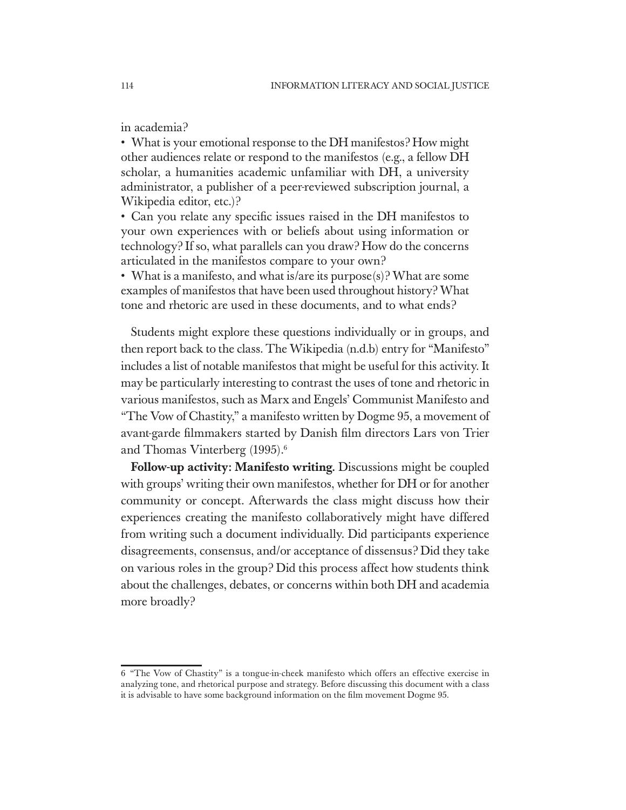in academia?

• What is your emotional response to the DH manifestos? How might other audiences relate or respond to the manifestos (e.g., a fellow DH scholar, a humanities academic unfamiliar with DH, a university administrator, a publisher of a peer-reviewed subscription journal, a Wikipedia editor, etc.)?

• Can you relate any specific issues raised in the DH manifestos to your own experiences with or beliefs about using information or technology? If so, what parallels can you draw? How do the concerns articulated in the manifestos compare to your own?

• What is a manifesto, and what is/are its purpose(s)? What are some examples of manifestos that have been used throughout history? What tone and rhetoric are used in these documents, and to what ends?

Students might explore these questions individually or in groups, and then report back to the class. The Wikipedia (n.d.b) entry for "Manifesto" includes a list of notable manifestos that might be useful for this activity. It may be particularly interesting to contrast the uses of tone and rhetoric in various manifestos, such as Marx and Engels' Communist Manifesto and "The Vow of Chastity," a manifesto written by Dogme 95, a movement of avant-garde filmmakers started by Danish film directors Lars von Trier and Thomas Vinterberg (1995).<sup>6</sup>

Follow-up activity: Manifesto writing. Discussions might be coupled with groups' writing their own manifestos, whether for DH or for another community or concept. Afterwards the class might discuss how their experiences creating the manifesto collaboratively might have differed from writing such a document individually. Did participants experience disagreements, consensus, and/or acceptance of dissensus? Did they take on various roles in the group? Did this process affect how students think about the challenges, debates, or concerns within both DH and academia more broadly?

<sup>6</sup> "The Vow of Chastity" is a tongue-in-cheek manifesto which offers an effective exercise in analyzing tone, and rhetorical purpose and strategy. Before discussing this document with a class it is advisable to have some background information on the film movement Dogme 95.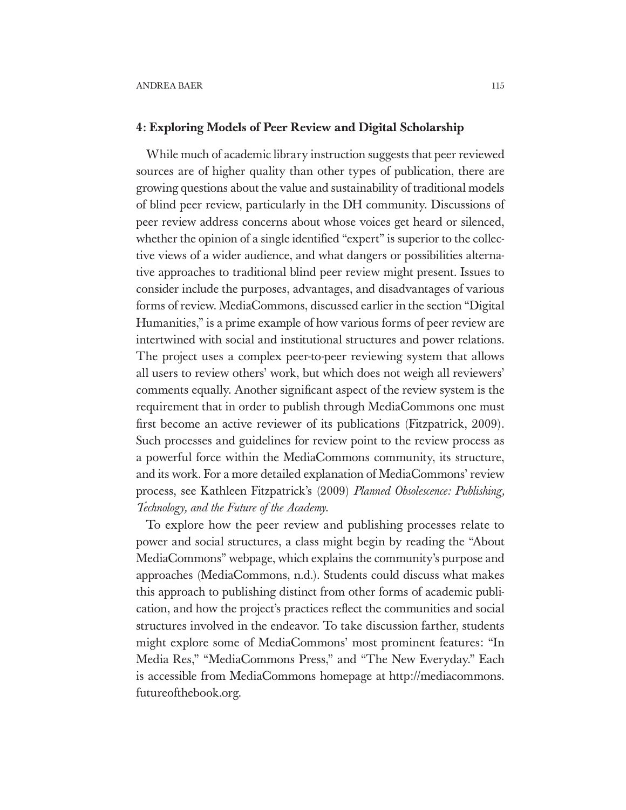While much of academic library instruction suggests that peer reviewed sources are of higher quality than other types of publication, there are growing questions about the value and sustainability of traditional models of blind peer review, particularly in the DH community. Discussions of peer review address concerns about whose voices get heard or silenced, whether the opinion of a single identified "expert" is superior to the collective views of a wider audience, and what dangers or possibilities alternative approaches to traditional blind peer review might present. Issues to consider include the purposes, advantages, and disadvantages of various forms of review. MediaCommons, discussed earlier in the section "Digital Humanities," is a prime example of how various forms of peer review are intertwined with social and institutional structures and power relations. The project uses a complex peer-to-peer reviewing system that allows all users to review others' work, but which does not weigh all reviewers' comments equally. Another significant aspect of the review system is the requirement that in order to publish through MediaCommons one must first become an active reviewer of its publications (Fitzpatrick, 2009). Such processes and guidelines for review point to the review process as a powerful force within the MediaCommons community, its structure, and its work. For a more detailed explanation of MediaCommons' review process, see Kathleen Fitzpatrick's (2009) *Planned Obsolescence: Publishing, Technology, and the Future of the Academy*.

To explore how the peer review and publishing processes relate to power and social structures, a class might begin by reading the "About MediaCommons" webpage, which explains the community's purpose and approaches (MediaCommons, n.d.). Students could discuss what makes this approach to publishing distinct from other forms of academic publication, and how the project's practices reflect the communities and social structures involved in the endeavor. To take discussion farther, students might explore some of MediaCommons' most prominent features: "In Media Res," "MediaCommons Press," and "The New Everyday." Each is accessible from MediaCommons homepage at http://mediacommons. futureofthebook.org.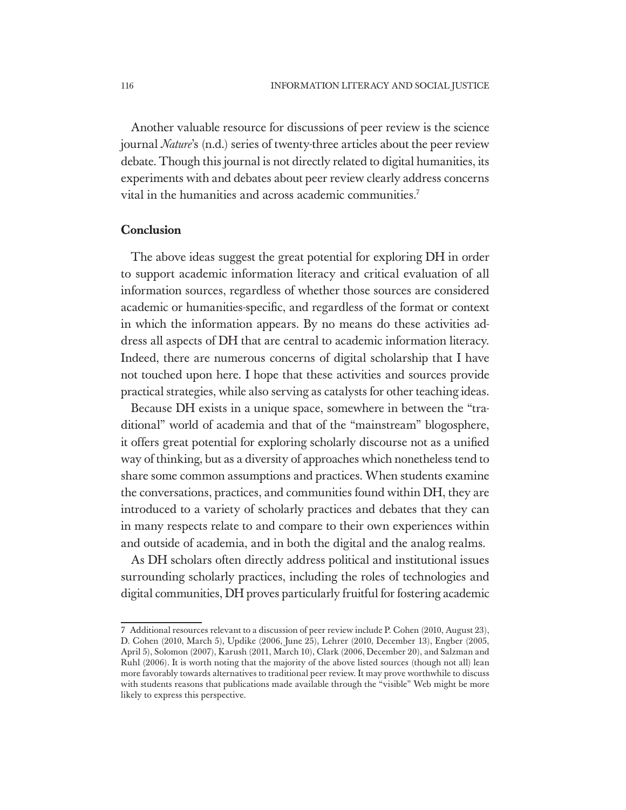Another valuable resource for discussions of peer review is the science journal *Nature*'s (n.d.) series of twenty-three articles about the peer review debate. Though this journal is not directly related to digital humanities, its experiments with and debates about peer review clearly address concerns vital in the humanities and across academic communities.7

#### Conclusion

The above ideas suggest the great potential for exploring DH in order to support academic information literacy and critical evaluation of all information sources, regardless of whether those sources are considered academic or humanities-specific, and regardless of the format or context in which the information appears. By no means do these activities address all aspects of DH that are central to academic information literacy. Indeed, there are numerous concerns of digital scholarship that I have not touched upon here. I hope that these activities and sources provide practical strategies, while also serving as catalysts for other teaching ideas.

Because DH exists in a unique space, somewhere in between the "traditional" world of academia and that of the "mainstream" blogosphere, it offers great potential for exploring scholarly discourse not as a unified way of thinking, but as a diversity of approaches which nonetheless tend to share some common assumptions and practices. When students examine the conversations, practices, and communities found within DH, they are introduced to a variety of scholarly practices and debates that they can in many respects relate to and compare to their own experiences within and outside of academia, and in both the digital and the analog realms.

As DH scholars often directly address political and institutional issues surrounding scholarly practices, including the roles of technologies and digital communities, DH proves particularly fruitful for fostering academic

<sup>7</sup> Additional resources relevant to a discussion of peer review include P. Cohen (2010, August 23), D. Cohen (2010, March 5), Updike (2006, June 25), Lehrer (2010, December 13), Engber (2005, April 5), Solomon (2007), Karush (2011, March 10), Clark (2006, December 20), and Salzman and Ruhl (2006). It is worth noting that the majority of the above listed sources (though not all) lean more favorably towards alternatives to traditional peer review. It may prove worthwhile to discuss with students reasons that publications made available through the "visible" Web might be more likely to express this perspective.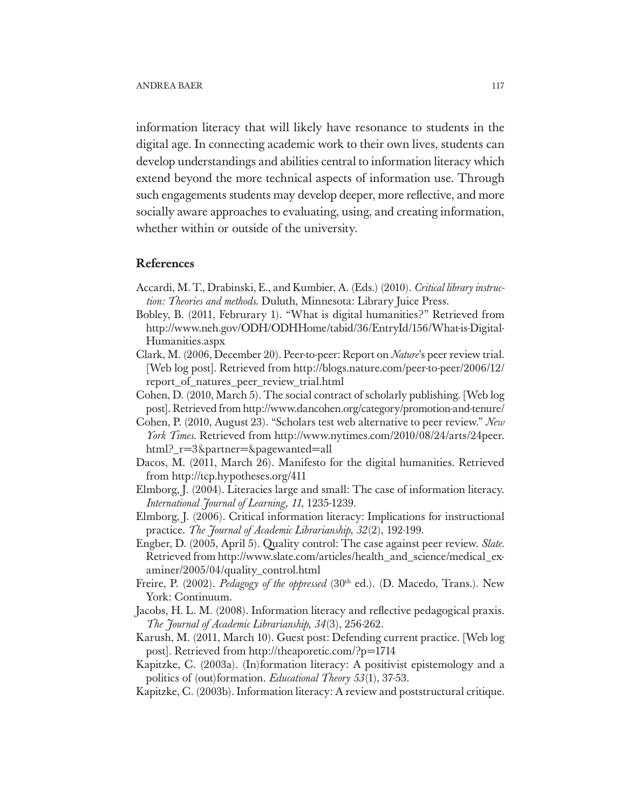information literacy that will likely have resonance to students in the digital age. In connecting academic work to their own lives, students can develop understandings and abilities central to information literacy which extend beyond the more technical aspects of information use. Through such engagements students may develop deeper, more reflective, and more socially aware approaches to evaluating, using, and creating information, whether within or outside of the university.

#### References

- Accardi, M. T., Drabinski, E., and Kumbier, A. (Eds.) (2010). *Critical library instruction: Theories and methods*. Duluth, Minnesota: Library Juice Press.
- Bobley, B. (2011, Februrary 1). "What is digital humanities?" Retrieved from http://www.neh.gov/ODH/ODHHome/tabid/36/EntryId/156/What-is-Digital-Humanities.aspx
- Clark, M. (2006, December 20). Peer-to-peer: Report on *Nature*'s peer review trial. [Web log post]. Retrieved from http://blogs.nature.com/peer-to-peer/2006/12/ report\_of\_natures\_peer\_review\_trial.html
- Cohen, D. (2010, March 5). The social contract of scholarly publishing. [Web log post]. Retrieved from http://www.dancohen.org/category/promotion-and-tenure/
- Cohen, P. (2010, August 23). "Scholars test web alternative to peer review." *New York Times.* Retrieved from http://www.nytimes.com/2010/08/24/arts/24peer. html?\_r=3&partner=&pagewanted=all
- Dacos, M. (2011, March 26). Manifesto for the digital humanities. Retrieved from http://tcp.hypotheses.org/411
- Elmborg, J. (2004). Literacies large and small: The case of information literacy. *International Journal of Learning, 11*, 1235-1239.
- Elmborg, J. (2006). Critical information literacy: Implications for instructional practice. *The Journal of Academic Librarianship*, *32*(2), 192-199.
- Engber, D. (2005, April 5). Quality control: The case against peer review. *Slate*. Retrieved from http://www.slate.com/articles/health\_and\_science/medical\_examiner/2005/04/quality\_control.html
- Freire, P. (2002). *Pedagogy of the oppressed* (30<sup>th</sup> ed.). (D. Macedo, Trans.). New York: Continuum.
- Jacobs, H. L. M. (2008). Information literacy and reflective pedagogical praxis. *The Journal of Academic Librarianship*, *34*(3), 256-262.
- Karush, M. (2011, March 10). Guest post: Defending current practice. [Web log post]. Retrieved from http://theaporetic.com/?p=1714
- Kapitzke, C. (2003a). (In)formation literacy: A positivist epistemology and a politics of (out)formation. *Educational Theory 53*(1), 37-53.
- Kapitzke, C. (2003b). Information literacy: A review and poststructural critique.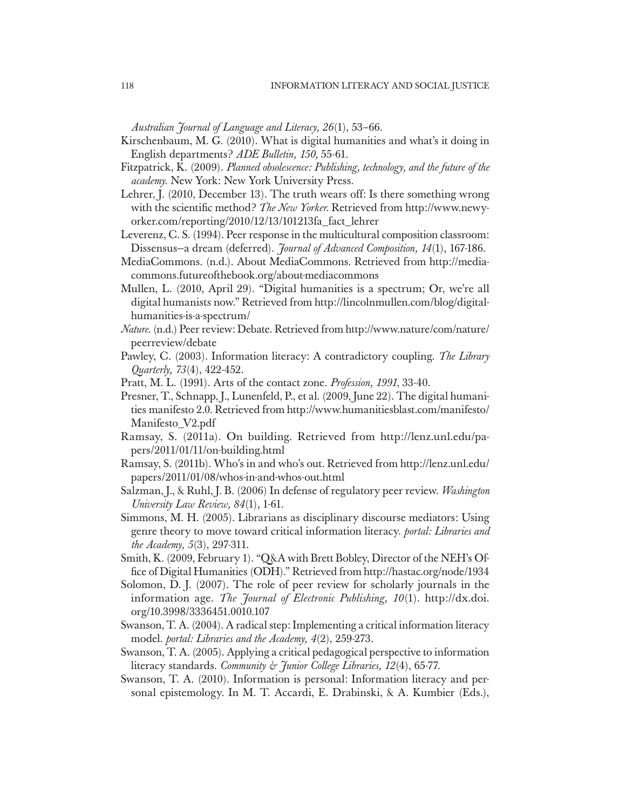*Australian Journal of Language and Literacy, 26*(1), 53–66.

- Kirschenbaum, M. G. (2010). What is digital humanities and what's it doing in English departments? *ADE Bulletin, 150,* 55-61.
- Fitzpatrick, K. (2009). *Planned obsolescence: Publishing, technology, and the future of the academy*. New York: New York University Press.
- Lehrer, J. (2010, December 13). The truth wears off: Is there something wrong with the scientific method? *The New Yorker*. Retrieved from http://www.newyorker.com/reporting/2010/12/13/101213fa\_fact\_lehrer
- Leverenz, C. S. (1994). Peer response in the multicultural composition classroom: Dissensus—a dream (deferred). *Journal of Advanced Composition, 14*(1), 167-186.
- MediaCommons. (n.d.). About MediaCommons. Retrieved from http://mediacommons.futureofthebook.org/about-mediacommons
- Mullen, L. (2010, April 29). "Digital humanities is a spectrum; Or, we're all digital humanists now." Retrieved from http://lincolnmullen.com/blog/digitalhumanities-is-a-spectrum/
- *Nature*. (n.d.) Peer review: Debate. Retrieved from http://www.nature/com/nature/ peerreview/debate
- Pawley, C. (2003). Information literacy: A contradictory coupling. *The Library Quarterly, 73*(4), 422-452.
- Pratt, M. L. (1991). Arts of the contact zone. *Profession, 1991*, 33-40.
- Presner, T., Schnapp, J., Lunenfeld, P., et al. (2009, June 22). The digital humanities manifesto 2.0. Retrieved from http://www.humanitiesblast.com/manifesto/ Manifesto\_V2.pdf
- Ramsay, S. (2011a). On building. Retrieved from http://lenz.unl.edu/papers/2011/01/11/on-building.html
- Ramsay, S. (2011b). Who's in and who's out. Retrieved from http://lenz.unl.edu/ papers/2011/01/08/whos-in-and-whos-out.html
- Salzman, J., & Ruhl, J. B. (2006) In defense of regulatory peer review. *Washington University Law Review, 84*(1)*,* 1-61.
- Simmons, M. H. (2005). Librarians as disciplinary discourse mediators: Using genre theory to move toward critical information literacy. *portal: Libraries and the Academy, 5*(3), 297-311.
- Smith, K. (2009, February 1). "Q&A with Brett Bobley, Director of the NEH's Office of Digital Humanities (ODH)." Retrieved from http://hastac.org/node/1934
- Solomon, D. J. (2007). The role of peer review for scholarly journals in the information age. *The Journal of Electronic Publishing, 10*(1). http://dx.doi. org/10.3998/3336451.0010.107
- Swanson, T. A. (2004). A radical step: Implementing a critical information literacy model. *portal: Libraries and the Academy, 4*(2), 259-273.
- Swanson, T. A. (2005). Applying a critical pedagogical perspective to information literacy standards. *Community & Junior College Libraries, 12*(4), 65-77.
- Swanson, T. A. (2010). Information is personal: Information literacy and personal epistemology. In M. T. Accardi, E. Drabinski, & A. Kumbier (Eds.),